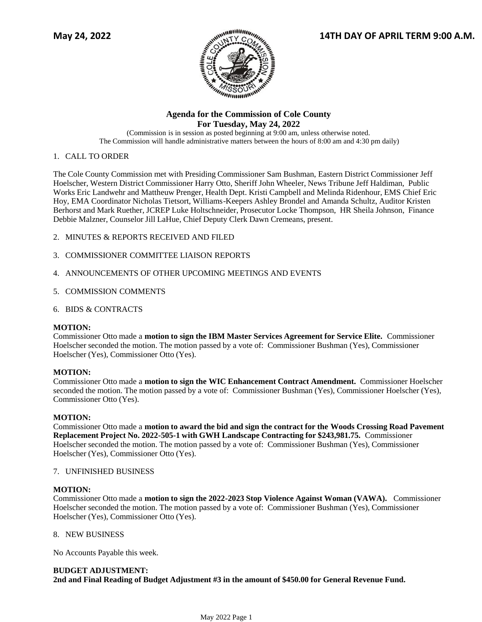

# **Agenda for the Commission of Cole County For Tuesday, May 24, 2022**

(Commission is in session as posted beginning at 9:00 am, unless otherwise noted. The Commission will handle administrative matters between the hours of 8:00 am and 4:30 pm daily)

## 1. CALL TO ORDER

The Cole County Commission met with Presiding Commissioner Sam Bushman, Eastern District Commissioner Jeff Hoelscher, Western District Commissioner Harry Otto, Sheriff John Wheeler, News Tribune Jeff Haldiman, Public Works Eric Landwehr and Mattheuw Prenger, Health Dept. Kristi Campbell and Melinda Ridenhour, EMS Chief Eric Hoy, EMA Coordinator Nicholas Tietsort, Williams-Keepers Ashley Brondel and Amanda Schultz, Auditor Kristen Berhorst and Mark Ruether, JCREP Luke Holtschneider, Prosecutor Locke Thompson, HR Sheila Johnson, Finance Debbie Malzner, Counselor Jill LaHue, Chief Deputy Clerk Dawn Cremeans, present.

- 2. MINUTES & REPORTS RECEIVED AND FILED
- 3. COMMISSIONER COMMITTEE LIAISON REPORTS
- 4. ANNOUNCEMENTS OF OTHER UPCOMING MEETINGS AND EVENTS
- 5. COMMISSION COMMENTS
- 6. BIDS & CONTRACTS

## **MOTION:**

Commissioner Otto made a **motion to sign the IBM Master Services Agreement for Service Elite.** Commissioner Hoelscher seconded the motion. The motion passed by a vote of: Commissioner Bushman (Yes), Commissioner Hoelscher (Yes), Commissioner Otto (Yes).

## **MOTION:**

Commissioner Otto made a **motion to sign the WIC Enhancement Contract Amendment.** Commissioner Hoelscher seconded the motion. The motion passed by a vote of: Commissioner Bushman (Yes), Commissioner Hoelscher (Yes), Commissioner Otto (Yes).

## **MOTION:**

Commissioner Otto made a **motion to award the bid and sign the contract for the Woods Crossing Road Pavement Replacement Project No. 2022-505-1 with GWH Landscape Contracting for \$243,981.75.** Commissioner Hoelscher seconded the motion. The motion passed by a vote of: Commissioner Bushman (Yes), Commissioner Hoelscher (Yes), Commissioner Otto (Yes).

## 7. UNFINISHED BUSINESS

## **MOTION:**

Commissioner Otto made a **motion to sign the 2022-2023 Stop Violence Against Woman (VAWA).** Commissioner Hoelscher seconded the motion. The motion passed by a vote of: Commissioner Bushman (Yes), Commissioner Hoelscher (Yes), Commissioner Otto (Yes).

## 8. NEW BUSINESS

No Accounts Payable this week.

# **BUDGET ADJUSTMENT: 2nd and Final Reading of Budget Adjustment #3 in the amount of \$450.00 for General Revenue Fund.**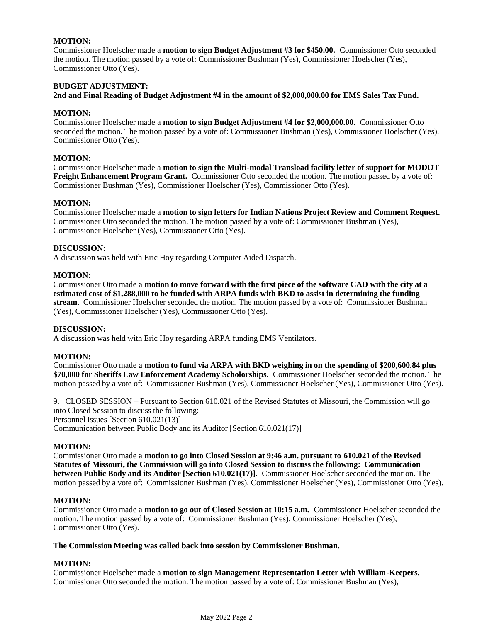## **MOTION:**

Commissioner Hoelscher made a **motion to sign Budget Adjustment #3 for \$450.00.** Commissioner Otto seconded the motion. The motion passed by a vote of: Commissioner Bushman (Yes), Commissioner Hoelscher (Yes), Commissioner Otto (Yes).

## **BUDGET ADJUSTMENT:**

**2nd and Final Reading of Budget Adjustment #4 in the amount of \$2,000,000.00 for EMS Sales Tax Fund.** 

#### **MOTION:**

Commissioner Hoelscher made a **motion to sign Budget Adjustment #4 for \$2,000,000.00.** Commissioner Otto seconded the motion. The motion passed by a vote of: Commissioner Bushman (Yes), Commissioner Hoelscher (Yes), Commissioner Otto (Yes).

#### **MOTION:**

Commissioner Hoelscher made a **motion to sign the Multi-modal Transload facility letter of support for MODOT Freight Enhancement Program Grant.** Commissioner Otto seconded the motion. The motion passed by a vote of: Commissioner Bushman (Yes), Commissioner Hoelscher (Yes), Commissioner Otto (Yes).

## **MOTION:**

Commissioner Hoelscher made a **motion to sign letters for Indian Nations Project Review and Comment Request.** Commissioner Otto seconded the motion. The motion passed by a vote of: Commissioner Bushman (Yes), Commissioner Hoelscher (Yes), Commissioner Otto (Yes).

## **DISCUSSION:**

A discussion was held with Eric Hoy regarding Computer Aided Dispatch.

#### **MOTION:**

Commissioner Otto made a **motion to move forward with the first piece of the software CAD with the city at a estimated cost of \$1,288,000 to be funded with ARPA funds with BKD to assist in determining the funding stream.** Commissioner Hoelscher seconded the motion. The motion passed by a vote of: Commissioner Bushman (Yes), Commissioner Hoelscher (Yes), Commissioner Otto (Yes).

#### **DISCUSSION:**

A discussion was held with Eric Hoy regarding ARPA funding EMS Ventilators.

## **MOTION:**

Commissioner Otto made a **motion to fund via ARPA with BKD weighing in on the spending of \$200,600.84 plus \$70,000 for Sheriffs Law Enforcement Academy Scholorships.** Commissioner Hoelscher seconded the motion. The motion passed by a vote of: Commissioner Bushman (Yes), Commissioner Hoelscher (Yes), Commissioner Otto (Yes).

9. CLOSED SESSION – Pursuant to Section 610.021 of the Revised Statutes of Missouri, the Commission will go into Closed Session to discuss the following: Personnel Issues [Section 610.021(13)] Communication between Public Body and its Auditor [Section 610.021(17)]

## **MOTION:**

Commissioner Otto made a **motion to go into Closed Session at 9:46 a.m. pursuant to 610.021 of the Revised Statutes of Missouri, the Commission will go into Closed Session to discuss the following: Communication between Public Body and its Auditor [Section 610.021(17)].** Commissioner Hoelscher seconded the motion. The motion passed by a vote of: Commissioner Bushman (Yes), Commissioner Hoelscher (Yes), Commissioner Otto (Yes).

#### **MOTION:**

Commissioner Otto made a **motion to go out of Closed Session at 10:15 a.m.** Commissioner Hoelscher seconded the motion. The motion passed by a vote of: Commissioner Bushman (Yes), Commissioner Hoelscher (Yes), Commissioner Otto (Yes).

#### **The Commission Meeting was called back into session by Commissioner Bushman.**

# **MOTION:**

Commissioner Hoelscher made a **motion to sign Management Representation Letter with William-Keepers.** Commissioner Otto seconded the motion. The motion passed by a vote of: Commissioner Bushman (Yes),